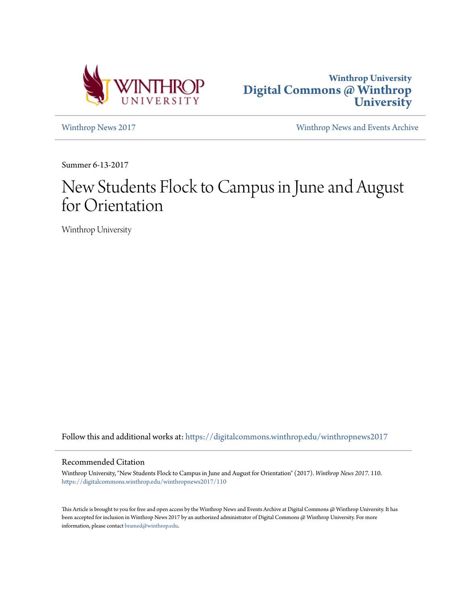



[Winthrop News 2017](https://digitalcommons.winthrop.edu/winthropnews2017?utm_source=digitalcommons.winthrop.edu%2Fwinthropnews2017%2F110&utm_medium=PDF&utm_campaign=PDFCoverPages) [Winthrop News and Events Archive](https://digitalcommons.winthrop.edu/winthropnewsarchives?utm_source=digitalcommons.winthrop.edu%2Fwinthropnews2017%2F110&utm_medium=PDF&utm_campaign=PDFCoverPages)

Summer 6-13-2017

# New Students Flock to Campus in June and August for Orientation

Winthrop University

Follow this and additional works at: [https://digitalcommons.winthrop.edu/winthropnews2017](https://digitalcommons.winthrop.edu/winthropnews2017?utm_source=digitalcommons.winthrop.edu%2Fwinthropnews2017%2F110&utm_medium=PDF&utm_campaign=PDFCoverPages)

## Recommended Citation

Winthrop University, "New Students Flock to Campus in June and August for Orientation" (2017). *Winthrop News 2017*. 110. [https://digitalcommons.winthrop.edu/winthropnews2017/110](https://digitalcommons.winthrop.edu/winthropnews2017/110?utm_source=digitalcommons.winthrop.edu%2Fwinthropnews2017%2F110&utm_medium=PDF&utm_campaign=PDFCoverPages)

This Article is brought to you for free and open access by the Winthrop News and Events Archive at Digital Commons @ Winthrop University. It has been accepted for inclusion in Winthrop News 2017 by an authorized administrator of Digital Commons @ Winthrop University. For more information, please contact [bramed@winthrop.edu](mailto:bramed@winthrop.edu).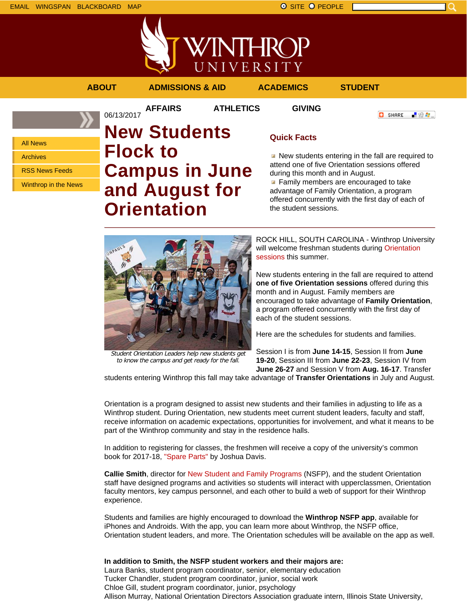



**AFFAIRS ATHLETICS GIVING**

06/13/2017

**ABOUT ADMISSIONS & AID ACADEMICS STUDENT**

**C** SHARE 上没身。

All News Archives RSS News Feeds

Winthrop in the News

# **New Students Flock to Campus in June and August for Orientation**

# **Quick Facts**

New students entering in the fall are required to attend one of five Orientation sessions offered during this month and in August.

**Family members are encouraged to take** advantage of Family Orientation, a program offered concurrently with the first day of each of the student sessions.



Student Orientation Leaders help new students get to know the campus and get ready for the fall.

ROCK HILL, SOUTH CAROLINA - Winthrop University will welcome freshman students during Orientation sessions this summer.

New students entering in the fall are required to attend **one of five Orientation sessions** offered during this month and in August. Family members are encouraged to take advantage of **Family Orientation**, a program offered concurrently with the first day of each of the student sessions.

Here are the schedules for students and families.

Session I is from **June 14-15**, Session II from **June 19-20**, Session III from **June 22-23**, Session IV from **June 26-27** and Session V from **Aug. 16-17**. Transfer

students entering Winthrop this fall may take advantage of **Transfer Orientations** in July and August.

Orientation is a program designed to assist new students and their families in adjusting to life as a Winthrop student. During Orientation, new students meet current student leaders, faculty and staff, receive information on academic expectations, opportunities for involvement, and what it means to be part of the Winthrop community and stay in the residence halls.

In addition to registering for classes, the freshmen will receive a copy of the university's common book for 2017-18, "Spare Parts" by Joshua Davis.

**Callie Smith**, director for New Student and Family Programs (NSFP), and the student Orientation staff have designed programs and activities so students will interact with upperclassmen, Orientation faculty mentors, key campus personnel, and each other to build a web of support for their Winthrop experience.

Students and families are highly encouraged to download the **Winthrop NSFP app**, available for iPhones and Androids. With the app, you can learn more about Winthrop, the NSFP office, Orientation student leaders, and more. The Orientation schedules will be available on the app as well.

**In addition to Smith, the NSFP student workers and their majors are:** Laura Banks, student program coordinator, senior, elementary education Tucker Chandler, student program coordinator, junior, social work Chloe Gill, student program coordinator, junior, psychology Allison Murray, National Orientation Directors Association graduate intern, Illinois State University,